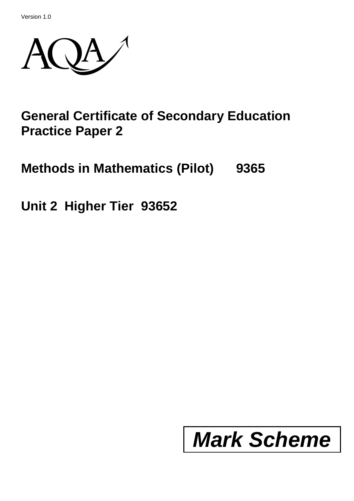Version 1.0



## **General Certificate of Secondary Education Practice Paper 2**

# **Methods in Mathematics (Pilot) 9365**

**Unit 2 Higher Tier 93652**

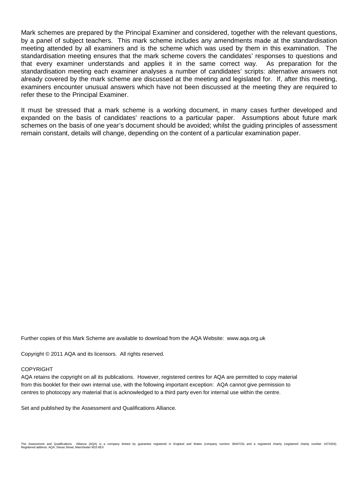Mark schemes are prepared by the Principal Examiner and considered, together with the relevant questions, by a panel of subject teachers. This mark scheme includes any amendments made at the standardisation meeting attended by all examiners and is the scheme which was used by them in this examination. The standardisation meeting ensures that the mark scheme covers the candidates' responses to questions and that every examiner understands and applies it in the same correct way. As preparation for the standardisation meeting each examiner analyses a number of candidates' scripts: alternative answers not already covered by the mark scheme are discussed at the meeting and legislated for. If, after this meeting, examiners encounter unusual answers which have not been discussed at the meeting they are required to refer these to the Principal Examiner.

It must be stressed that a mark scheme is a working document, in many cases further developed and expanded on the basis of candidates' reactions to a particular paper. Assumptions about future mark schemes on the basis of one year's document should be avoided; whilst the guiding principles of assessment remain constant, details will change, depending on the content of a particular examination paper.

Further copies of this Mark Scheme are available to download from the AQA Website: www.aqa.org.uk

Copyright © 2011 AQA and its licensors. All rights reserved.

#### COPYRIGHT

AQA retains the copyright on all its publications. However, registered centres for AQA are permitted to copy material from this booklet for their own internal use, with the following important exception: AQA cannot give permission to centres to photocopy any material that is acknowledged to a third party even for internal use within the centre.

Set and published by the Assessment and Qualifications Alliance.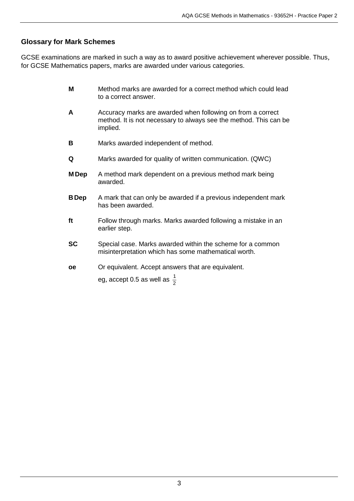### **Glossary for Mark Schemes**

GCSE examinations are marked in such a way as to award positive achievement wherever possible. Thus, for GCSE Mathematics papers, marks are awarded under various categories.

- **M** Method marks are awarded for a correct method which could lead to a correct answer.
- **A** Accuracy marks are awarded when following on from a correct method. It is not necessary to always see the method. This can be implied.
- **B** Marks awarded independent of method.
- **Q** Marks awarded for quality of written communication. (QWC)
- **M Dep** A method mark dependent on a previous method mark being awarded.
- **BDep** A mark that can only be awarded if a previous independent mark has been awarded.
- **ft** Follow through marks. Marks awarded following a mistake in an earlier step.
- **SC** Special case. Marks awarded within the scheme for a common misinterpretation which has some mathematical worth.
- **oe** Or equivalent. Accept answers that are equivalent.

eg, accept 0.5 as well as  $\frac{1}{2}$ 1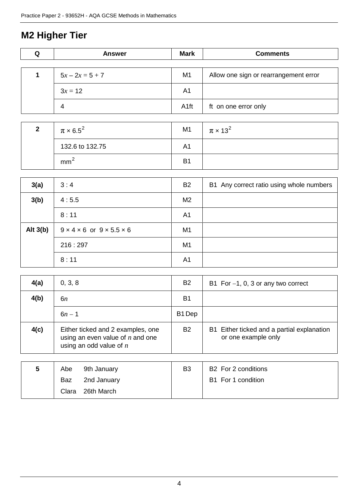### **M2 Higher Tier**

| Q            | <b>Answer</b>                                    | <b>Mark</b>      | <b>Comments</b>                          |
|--------------|--------------------------------------------------|------------------|------------------------------------------|
|              |                                                  |                  |                                          |
| $\mathbf{1}$ | $5x - 2x = 5 + 7$                                | M <sub>1</sub>   | Allow one sign or rearrangement error    |
|              | $3x = 12$                                        | A <sub>1</sub>   |                                          |
|              | 4                                                | A <sub>1ft</sub> | ft on one error only                     |
|              |                                                  |                  |                                          |
| $\mathbf{2}$ | $\pi \times 6.5^2$                               | M1               | $\pi \times 13^2$                        |
|              | 132.6 to 132.75                                  | A <sub>1</sub>   |                                          |
|              | mm <sup>2</sup>                                  | <b>B1</b>        |                                          |
|              |                                                  |                  |                                          |
| 3(a)         | 3:4                                              | <b>B2</b>        | B1 Any correct ratio using whole numbers |
| 3(b)         | 4:5.5                                            | M <sub>2</sub>   |                                          |
|              | 8:11                                             | A <sub>1</sub>   |                                          |
| Alt $3(b)$   | $9 \times 4 \times 6$ or $9 \times 5.5 \times 6$ | M <sub>1</sub>   |                                          |
|              | 216:297                                          | M <sub>1</sub>   |                                          |
|              | 8:11                                             | A <sub>1</sub>   |                                          |
|              |                                                  |                  |                                          |

| 4(a) | 0, 3, 8                                                                                              | <b>B2</b>          | B1 For $-1$ , 0, 3 or any two correct                             |
|------|------------------------------------------------------------------------------------------------------|--------------------|-------------------------------------------------------------------|
| 4(b) | 6n                                                                                                   | <b>B1</b>          |                                                                   |
|      | $6n - 1$                                                                                             | B <sub>1</sub> Dep |                                                                   |
| 4(c) | Either ticked and 2 examples, one<br>using an even value of $n$ and one<br>using an odd value of $n$ | B2                 | B1 Either ticked and a partial explanation<br>or one example only |

| b | Abe   | 9th January | B <sub>3</sub> | B <sub>2</sub> For 2 conditions |
|---|-------|-------------|----------------|---------------------------------|
|   | Baz   | 2nd January |                | B1 For 1 condition              |
|   | Clara | 26th March  |                |                                 |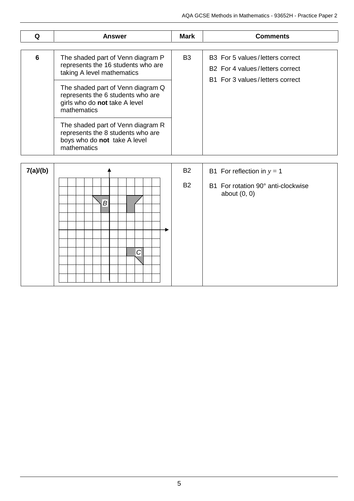| Q | Answer                                                                                                                                                                                                                          | <b>Mark</b>    | <b>Comments</b>                                                                                       |
|---|---------------------------------------------------------------------------------------------------------------------------------------------------------------------------------------------------------------------------------|----------------|-------------------------------------------------------------------------------------------------------|
| 6 | The shaded part of Venn diagram P<br>represents the 16 students who are<br>taking A level mathematics<br>The shaded part of Venn diagram Q<br>represents the 6 students who are<br>girls who do not take A level<br>mathematics | B <sub>3</sub> | B3 For 5 values/letters correct<br>B2 For 4 values/letters correct<br>B1 For 3 values/letters correct |
|   | The shaded part of Venn diagram R<br>represents the 8 students who are<br>boys who do not take A level<br>mathematics                                                                                                           |                |                                                                                                       |

| 7(a)/(b) |                | <b>B2</b><br>B1 For reflection in $y = 1$                         |
|----------|----------------|-------------------------------------------------------------------|
|          | $\overline{B}$ | <b>B2</b><br>B1 For rotation 90° anti-clockwise<br>about $(0, 0)$ |
|          | $\mathcal{C}$  |                                                                   |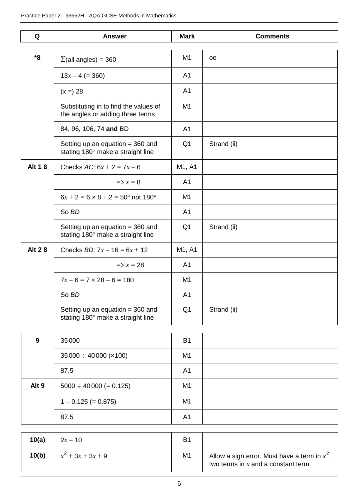| Q             | <b>Answer</b>                                                             | <b>Mark</b>    | <b>Comments</b> |
|---------------|---------------------------------------------------------------------------|----------------|-----------------|
|               |                                                                           |                |                 |
| *8            | $\Sigma$ (all angles) = 360                                               | M <sub>1</sub> | <b>oe</b>       |
|               | $13x - 4 (= 360)$                                                         | A <sub>1</sub> |                 |
|               | $(x =) 28$                                                                | A <sub>1</sub> |                 |
|               | Substituting in to find the values of<br>the angles or adding three terms | M <sub>1</sub> |                 |
|               | 84, 96, 106, 74 and BD                                                    | A1             |                 |
|               | Setting up an equation $=$ 360 and<br>stating 180° make a straight line   | Q <sub>1</sub> | Strand (ii)     |
| <b>Alt 18</b> | Checks AC: $6x + 2 = 7x - 6$                                              | M1, A1         |                 |
|               | $\Rightarrow$ x = 8                                                       | A <sub>1</sub> |                 |
|               | $6x + 2 = 6 \times 8 + 2 = 50^{\circ}$ not 180°                           | M1             |                 |
|               | So BD                                                                     |                |                 |
|               | Setting up an equation $=$ 360 and<br>stating 180° make a straight line   | Q <sub>1</sub> | Strand (ii)     |
| <b>Alt 28</b> | Checks <i>BD</i> : $7x - 16 = 6x + 12$                                    | M1, A1         |                 |
|               | $\Rightarrow$ x = 28                                                      | A <sub>1</sub> |                 |
|               | $7x - 6 = 7 \times 28 - 6 = 180$                                          | M1             |                 |
|               | So BD                                                                     | A <sub>1</sub> |                 |
|               | Setting up an equation $=$ 360 and<br>stating 180° make a straight line   | Q <sub>1</sub> | Strand (ii)     |

| 9                | 35000                         | B <sub>1</sub> |  |
|------------------|-------------------------------|----------------|--|
|                  | $35000 \div 40000 \times 100$ | M <sub>1</sub> |  |
|                  | 87.5                          | A <sub>1</sub> |  |
| Alt <sub>9</sub> | $5000 \div 40000 (= 0.125)$   | M <sub>1</sub> |  |
|                  | $1 - 0.125 (= 0.875)$         | M <sub>1</sub> |  |
|                  | 87.5                          | A <sub>1</sub> |  |

| 10(a) | $2x - 10$           | B1             |                                                                                          |
|-------|---------------------|----------------|------------------------------------------------------------------------------------------|
| 10(b) | $x^2 + 3x + 3x + 9$ | M <sub>1</sub> | Allow a sign error. Must have a term in $x^2$ ,<br>two terms in $x$ and a constant term. |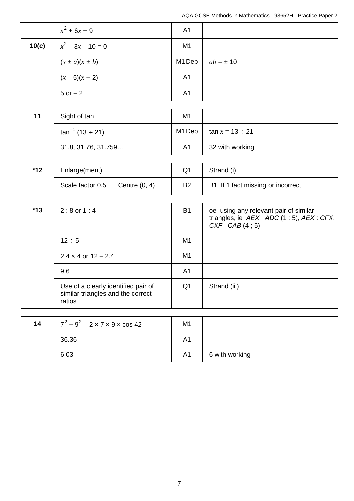|       | $x^2 + 6x + 9$       | A <sub>1</sub> |               |
|-------|----------------------|----------------|---------------|
| 10(c) | $x^2-3x-10=0$        | M <sub>1</sub> |               |
|       | $(x \pm a)(x \pm b)$ | M1 Dep         | $ab = \pm 10$ |
|       | $(x-5)(x+2)$         | A <sub>1</sub> |               |
|       | $5$ or $-2$          | A <sub>1</sub> |               |

| 11 | Sight of tan            | M <sub>1</sub> |                       |
|----|-------------------------|----------------|-----------------------|
|    | $\tan^{-1}(13 \div 21)$ | M1 Dep         | $\tan x = 13 \div 21$ |
|    | 31.8, 31.76, 31.759     | A <sub>1</sub> | 32 with working       |

| $*12$ | Enlarge(ment)    |                 |                | Strand (i)                        |
|-------|------------------|-----------------|----------------|-----------------------------------|
|       | Scale factor 0.5 | Centre $(0, 4)$ | B <sub>2</sub> | B1 If 1 fact missing or incorrect |

| $*13$ | $2:8$ or $1:4$                                                                     | B <sub>1</sub> | oe using any relevant pair of similar<br>triangles, ie $AEX$ : ADC (1 : 5), AEX : CFX,<br>CXF: CAB(4; 5) |
|-------|------------------------------------------------------------------------------------|----------------|----------------------------------------------------------------------------------------------------------|
|       | $12 \div 5$                                                                        | M <sub>1</sub> |                                                                                                          |
|       | $2.4 \times 4$ or $12 - 2.4$                                                       | M1             |                                                                                                          |
|       | 9.6                                                                                | A1             |                                                                                                          |
|       | Use of a clearly identified pair of<br>similar triangles and the correct<br>ratios | Q <sub>1</sub> | Strand (iii)                                                                                             |

| 14 | $7^2 + 9^2 - 2 \times 7 \times 9 \times \cos 42$ | M <sub>1</sub> |                |
|----|--------------------------------------------------|----------------|----------------|
|    | 36.36                                            | A1             |                |
|    | 6.03                                             | A <sub>1</sub> | 6 with working |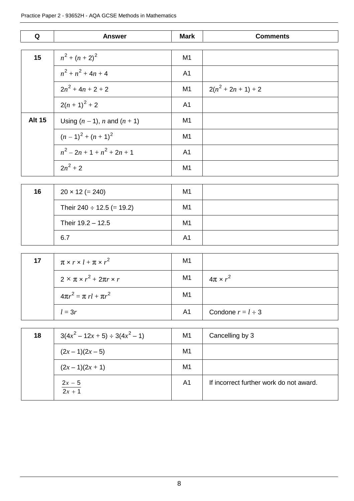| Q             | <b>Answer</b>                     | <b>Mark</b>    | <b>Comments</b> |
|---------------|-----------------------------------|----------------|-----------------|
|               |                                   |                |                 |
| 15            | $n^2 + (n+2)^2$                   | M <sub>1</sub> |                 |
|               | $n^2 + n^2 + 4n + 4$              | A <sub>1</sub> |                 |
|               | $2n^2 + 4n + 2 + 2$               | M <sub>1</sub> | $2(n^2+2n+1)+2$ |
|               | $2(n + 1)^{2} + 2$                | A <sub>1</sub> |                 |
| <b>Alt 15</b> | Using $(n - 1)$ , n and $(n + 1)$ | M <sub>1</sub> |                 |
|               | $(n-1)^{2} + (n+1)^{2}$           | M <sub>1</sub> |                 |
|               | $n^2-2n+1+n^2+2n+1$               | A <sub>1</sub> |                 |
|               | $2n^2 + 2$                        | M <sub>1</sub> |                 |

| 16 | $20 \times 12 (= 240)$         | M <sub>1</sub> |  |
|----|--------------------------------|----------------|--|
|    | Their 240 $\div$ 12.5 (= 19.2) | M <sub>1</sub> |  |
|    | Their 19.2 - 12.5              | M <sub>1</sub> |  |
|    | 6.7                            | A1             |  |

| 17 | $\pi \times r \times l + \pi \times r^2$    | M <sub>1</sub> |                        |
|----|---------------------------------------------|----------------|------------------------|
|    | $2 \times \pi \times r^2 + 2\pi r \times r$ | M1             | $4\pi \times r^2$      |
|    | $4\pi r^2 = \pi r l + \pi r^2$              | M <sub>1</sub> |                        |
|    | $l = 3r$                                    | A1             | Condone $r = l \div 3$ |

| 18 | $3(4x^2 - 12x + 5) \div 3(4x^2 - 1)$ | M <sub>1</sub> | Cancelling by 3                         |
|----|--------------------------------------|----------------|-----------------------------------------|
|    | $(2x-1)(2x-5)$                       | M <sub>1</sub> |                                         |
|    | $(2x-1)(2x+1)$                       | M1             |                                         |
|    | $\frac{2x-5}{2x+1}$                  | A <sub>1</sub> | If incorrect further work do not award. |